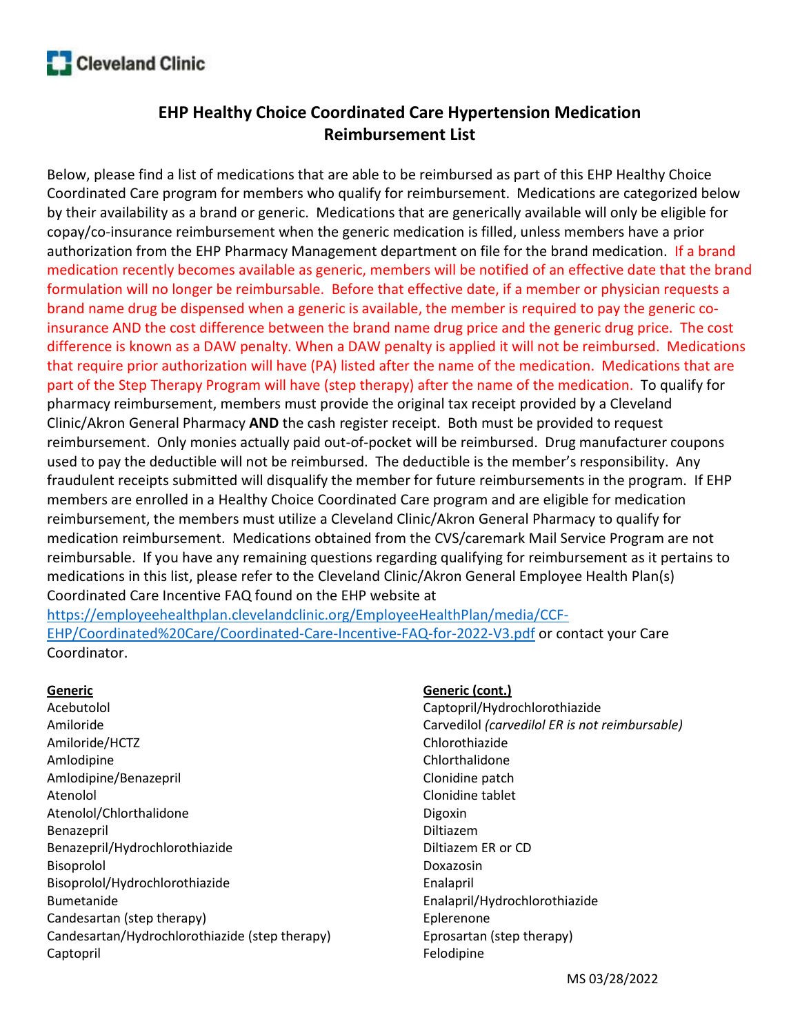

# EHP Healthy Choice Coordinated Care Hypertension Medication Reimbursement List

Below, please find a list of medications that are able to be reimbursed as part of this EHP Healthy Choice Coordinated Care program for members who qualify for reimbursement. Medications are categorized below by their availability as a brand or generic. Medications that are generically available will only be eligible for copay/co-insurance reimbursement when the generic medication is filled, unless members have a prior authorization from the EHP Pharmacy Management department on file for the brand medication. If a brand medication recently becomes available as generic, members will be notified of an effective date that the brand formulation will no longer be reimbursable. Before that effective date, if a member or physician requests a brand name drug be dispensed when a generic is available, the member is required to pay the generic coinsurance AND the cost difference between the brand name drug price and the generic drug price. The cost difference is known as a DAW penalty. When a DAW penalty is applied it will not be reimbursed. Medications that require prior authorization will have (PA) listed after the name of the medication. Medications that are part of the Step Therapy Program will have (step therapy) after the name of the medication. To qualify for pharmacy reimbursement, members must provide the original tax receipt provided by a Cleveland Clinic/Akron General Pharmacy AND the cash register receipt. Both must be provided to request reimbursement. Only monies actually paid out-of-pocket will be reimbursed. Drug manufacturer coupons used to pay the deductible will not be reimbursed. The deductible is the member's responsibility. Any fraudulent receipts submitted will disqualify the member for future reimbursements in the program. If EHP members are enrolled in a Healthy Choice Coordinated Care program and are eligible for medication reimbursement, the members must utilize a Cleveland Clinic/Akron General Pharmacy to qualify for medication reimbursement. Medications obtained from the CVS/caremark Mail Service Program are not reimbursable. If you have any remaining questions regarding qualifying for reimbursement as it pertains to medications in this list, please refer to the Cleveland Clinic/Akron General Employee Health Plan(s) Coordinated Care Incentive FAQ found on the EHP website at https://employeehealthplan.clevelandclinic.org/EmployeeHealthPlan/media/CCF-

EHP/Coordinated%20Care/Coordinated-Care-Incentive-FAQ-for-2022-V3.pdf or contact your Care Coordinator.

#### **Generic**

Acebutolol Amiloride Amiloride/HCTZ Amlodipine Amlodipine/Benazepril Atenolol Atenolol/Chlorthalidone Benazepril Benazepril/Hydrochlorothiazide Bisoprolol Bisoprolol/Hydrochlorothiazide Bumetanide Candesartan (step therapy) Candesartan/Hydrochlorothiazide (step therapy) Captopril

#### Generic (cont.)

Captopril/Hydrochlorothiazide Carvedilol (carvedilol ER is not reimbursable) Chlorothiazide Chlorthalidone Clonidine patch Clonidine tablet Digoxin Diltiazem Diltiazem ER or CD Doxazosin Enalapril Enalapril/Hydrochlorothiazide Eplerenone Eprosartan (step therapy) Felodipine